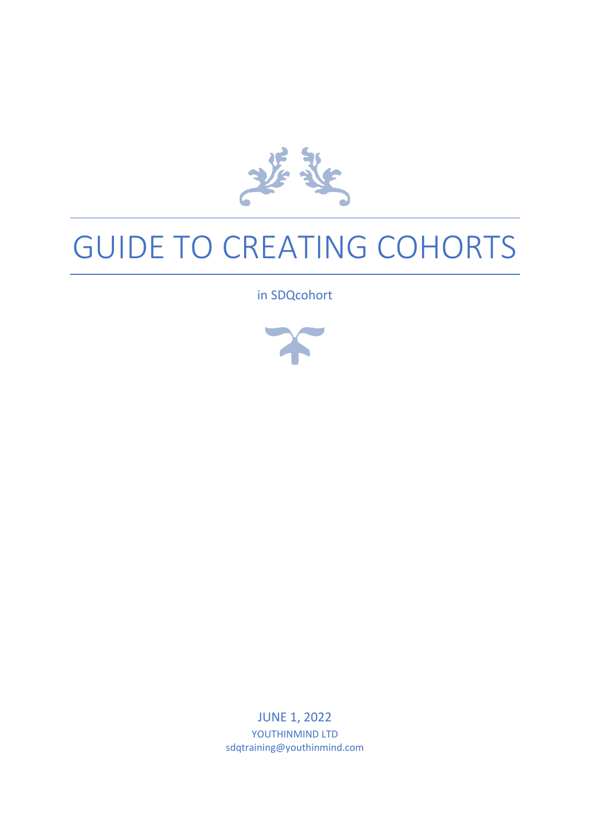

# GUIDE TO CREATING COHORTS

in SDQcohort



JUNE 1, 2022 YOUTHINMIND LTD sdqtraining@youthinmind.com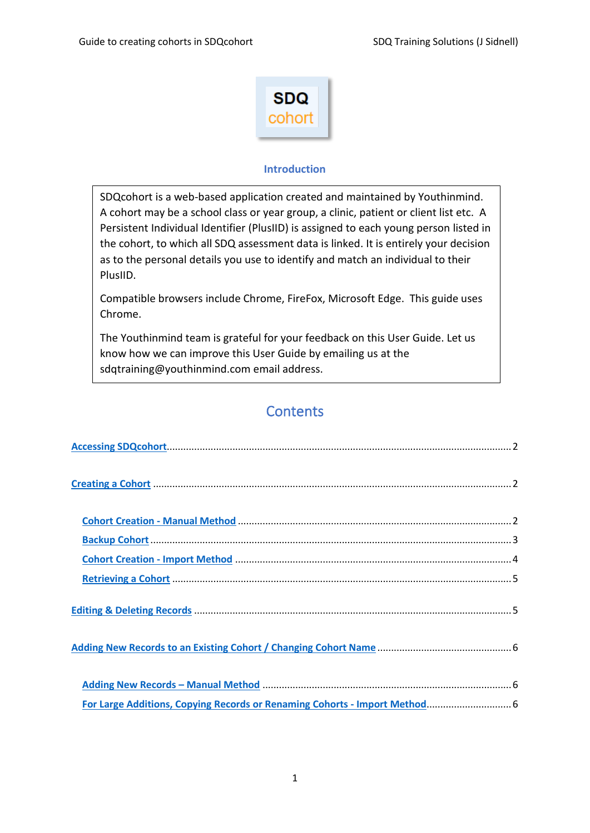

## **Introduction**

SDQcohort is a web-based application created and maintained by Youthinmind. A cohort may be a school class or year group, a clinic, patient or client list etc. A Persistent Individual Identifier (PlusIID) is assigned to each young person listed in the cohort, to which all SDQ assessment data is linked. It is entirely your decision as to the personal details you use to identify and match an individual to their PlusIID.

Compatible browsers include Chrome, FireFox, Microsoft Edge. This guide uses Chrome.

The Youthinmind team is grateful for your feedback on this User Guide. Let us know how we can improve this User Guide by emailing us at the sdqtraining@youthinmind.com email address.

# **Contents**

| For Large Additions, Copying Records or Renaming Cohorts - Import Method 6 |
|----------------------------------------------------------------------------|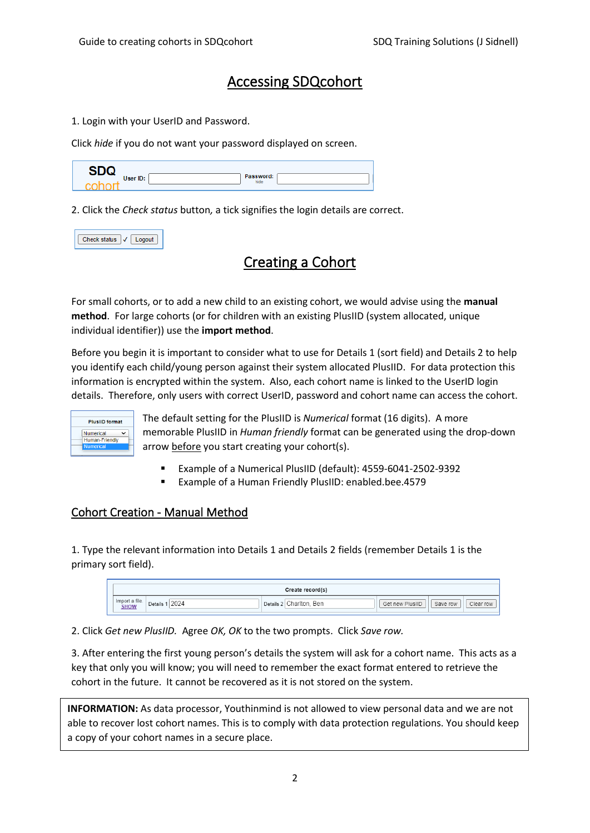# Accessing SDQcohort

<span id="page-2-0"></span>1. Login with your UserID and Password.

Click *hide* if you do not want your password displayed on screen.

| --       |                   |  |
|----------|-------------------|--|
| User ID: | Password:<br>hide |  |
|          |                   |  |

2. Click the *Check status* button*,* a tick signifies the login details are correct.

| ieck status |  |
|-------------|--|
|             |  |

# <span id="page-2-1"></span>Creating a Cohort

For small cohorts, or to add a new child to an existing cohort, we would advise using the **manual method**. For large cohorts (or for children with an existing PlusIID (system allocated, unique individual identifier)) use the **import method**.

Before you begin it is important to consider what to use for Details 1 (sort field) and Details 2 to help you identify each child/young person against their system allocated PlusIID. For data protection this information is encrypted within the system. Also, each cohort name is linked to the UserID login details. Therefore, only users with correct UserID, password and cohort name can access the cohort.



The default setting for the PlusIID is *Numerical* format (16 digits). A more memorable PlusIID in *Human friendly* format can be generated using the drop-down arrow before you start creating your cohort(s).

- Example of a Numerical PlusIID (default): 4559-6041-2502-9392
- Example of a Human Friendly PlusIID: enabled.bee.4579

## <span id="page-2-2"></span>Cohort Creation - Manual Method

1. Type the relevant information into Details 1 and Details 2 fields (remember Details 1 is the primary sort field).

|                               |                | Create record(s) |                                          |
|-------------------------------|----------------|------------------|------------------------------------------|
| Import a file.<br><b>SHOW</b> | 202<br>Details | Ben<br>Details   | Get new PlusIID<br>Clear row<br>Save row |

2. Click *Get new PlusIID.* Agree *OK, OK* to the two prompts. Click *Save row.*

3. After entering the first young person's details the system will ask for a cohort name. This acts as a key that only you will know; you will need to remember the exact format entered to retrieve the cohort in the future. It cannot be recovered as it is not stored on the system.

**INFORMATION:** As data processor, Youthinmind is not allowed to view personal data and we are not able to recover lost cohort names. This is to comply with data protection regulations. You should keep a copy of your cohort names in a secure place.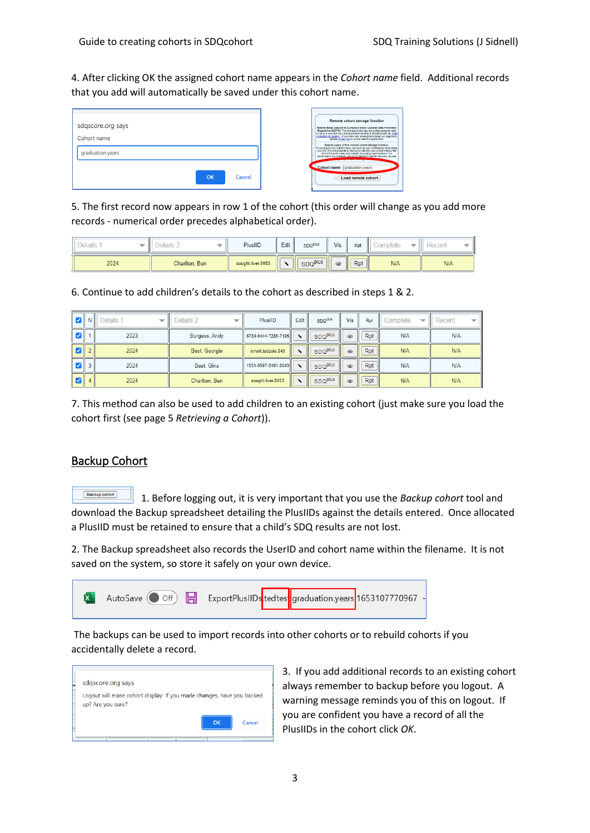4. After clicking OK the assigned cohort name appears in the *Cohort name* field. Additional records that you add will automatically be saved under this cohort name.

| sdqscore.org says<br>Cohort name<br>graduation.years |              | Remote cohort storage function<br>Note to those subject to European Union General Data Protection<br>Regulation (GDPR). The storage of strongly encrypted personal data<br>by us in a way that we cannot possibly decrypt it should qualify as "data<br>protection by design". If you have any reservations about our approach.<br>please contact us or do not use this application.<br>Note to users of this remote cohort storage function.<br>If you forget your cohort name, we have no way whatsoever of advising<br>you of it. It is not possible to decrypt or identify your cohort without the<br>EXACT cohort name and UserID (including capitalisation)! We<br>recommend you manually record all details to permit recovery, as well |
|------------------------------------------------------|--------------|------------------------------------------------------------------------------------------------------------------------------------------------------------------------------------------------------------------------------------------------------------------------------------------------------------------------------------------------------------------------------------------------------------------------------------------------------------------------------------------------------------------------------------------------------------------------------------------------------------------------------------------------------------------------------------------------------------------------------------------------|
|                                                      | OK<br>Cancel | Cohort name: graduation.years<br>VV Load remote cohort                                                                                                                                                                                                                                                                                                                                                                                                                                                                                                                                                                                                                                                                                         |

5. The first record now appears in row 1 of the cohort (this order will change as you add more records - numerical order precedes alphabetical order).

| Details | $\cdot$ betails $\sim$ | PlusIID           | Edit i | <b>SDQPlus</b>      | Vis            | Rpt | <i>C</i> omplete | Recent |
|---------|------------------------|-------------------|--------|---------------------|----------------|-----|------------------|--------|
| 2024    | Charlton, Ben          | sought.liver.5053 |        | SDQ <sup>plus</sup> | $\circledcirc$ | Rpt | N/A              | N/A    |

6. Continue to add children's details to the cohort as described in steps 1 & 2.

| M | $N \parallel$  | Details 1<br>$\overline{}$ | Details 2     | PlusIID             | Edit                  | SDQ <sup>plus</sup> | Vis            | Rpt | Complete<br>$\overline{\phantom{a}}$ | Recent |
|---|----------------|----------------------------|---------------|---------------------|-----------------------|---------------------|----------------|-----|--------------------------------------|--------|
| ø |                | 2023                       | Burgess, Andy | 6784-0444-7285-7195 | $\tilde{\phantom{a}}$ | SDQ <sup>plus</sup> | $\circledcirc$ | Rpt | N/A                                  | N/A    |
| M | 2 <sub>1</sub> | 2024                       | Best, Georgia | smart.tadpole.943   | $\lambda$             | SDQ <sup>plus</sup> | $\circledcirc$ | Rpt | N/A                                  | N/A    |
| Ø | 3              | 2024                       | Best, Gina    | 1551-0597-8191-8043 | $\lambda$             | SDQ <sup>plus</sup> | $\circledcirc$ | Rpt | N/A                                  | N/A    |
| И | $\vert$        | 2024                       | Charlton, Ben | sought.liver.5053   | $\checkmark$          | SDQ <sup>plus</sup> | $\circledcirc$ | Rpt | N/A                                  | N/A    |

7. This method can also be used to add children to an existing cohort (just make sure you load the cohort first (see page 5 *Retrieving a Cohort*)).

## <span id="page-3-0"></span>Backup Cohort

Backup cohort 1. Before logging out, it is very important that you use the *Backup cohort* tool and download the Backup spreadsheet detailing the PlusIIDs against the details entered. Once allocated a PlusIID must be retained to ensure that a child's SDQ results are not lost.

2. The Backup spreadsheet also records the UserID and cohort name within the filename. It is not saved on the system, so store it safely on your own device.



The backups can be used to import records into other cohorts or to rebuild cohorts if you accidentally delete a record.



3. If you add additional records to an existing cohort always remember to backup before you logout. A warning message reminds you of this on logout. If you are confident you have a record of all the PlusIIDs in the cohort click *OK*.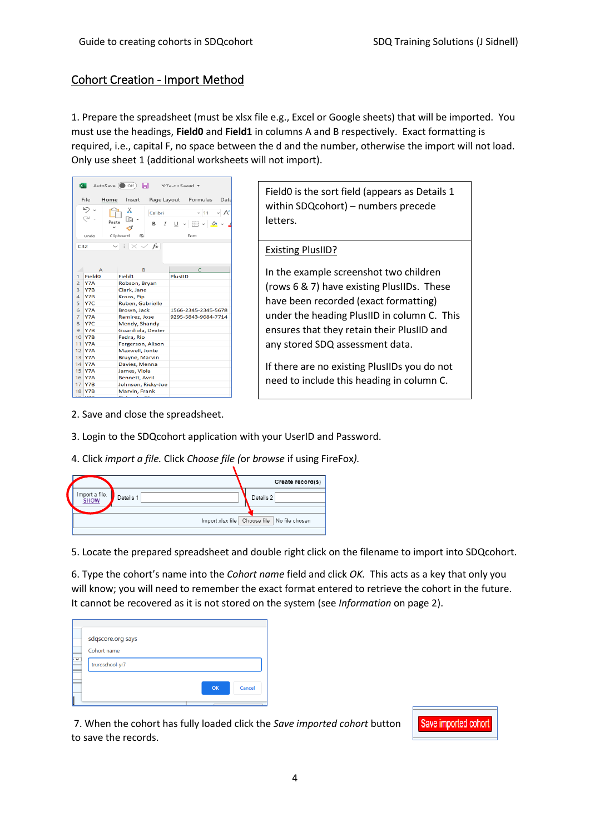## <span id="page-4-0"></span>Cohort Creation - Import Method

1. Prepare the spreadsheet (must be xlsx file e.g., Excel or Google sheets) that will be imported. You must use the headings, **Field0** and **Field1** in columns A and B respectively. Exact formatting is required, i.e., capital F, no space between the d and the number, otherwise the import will not load. Only use sheet 1 (additional worksheets will not import).

| <b>x</b>        | $AutoSave$ $Of$          | н                                     |                    | $Yr7a-c Saved$      |             |      |
|-----------------|--------------------------|---------------------------------------|--------------------|---------------------|-------------|------|
|                 | File<br>Home             | Insert                                | Page Layout        |                     | Formulas    | Data |
|                 |                          | х                                     | Calibri            |                     | ~11         | A    |
|                 | Paste                    | Li de                                 | B<br>$\mathcal{I}$ |                     | U - ⊞ - Ø - |      |
|                 |                          | ⊲                                     |                    |                     |             |      |
|                 | Undo                     | Clipboard<br>心                        |                    | Font                |             |      |
| C <sub>32</sub> |                          | $\mathsf{v}$ : $\times$ $\mathsf{v}$  | fx                 |                     |             |      |
|                 |                          |                                       |                    |                     |             |      |
|                 |                          |                                       |                    |                     |             |      |
|                 | $\overline{A}$           | B                                     |                    |                     | C           |      |
| 1               | <b>Field<sub>0</sub></b> | Field1                                |                    | <b>PlusIID</b>      |             |      |
| $\overline{2}$  | Y7A                      | Robson, Bryan                         |                    |                     |             |      |
| $\overline{3}$  | Y7B                      | Clark, Jane                           |                    |                     |             |      |
| $\overline{4}$  | Y7B                      | Kroos, Pip                            |                    |                     |             |      |
| 5               | Y7C                      | Ruben, Gabrielle                      |                    |                     |             |      |
| 6               | Y7A                      | Brown, Jack                           |                    | 1566-2345-2345-5678 |             |      |
| $\overline{7}$  | Y7A                      | Ramirez, Jose                         |                    | 9295-5843-9684-7714 |             |      |
| 8               | Y7C                      | Mendy, Shandy                         |                    |                     |             |      |
| $\overline{9}$  | Y7B                      | Guardiola, Dexter                     |                    |                     |             |      |
| 10              | Y7B                      | Fedra, Rio                            |                    |                     |             |      |
| 11              | Y7A                      | Fergerson, Alison                     |                    |                     |             |      |
| 12              | Y7A                      | Maxwell, Jonte                        |                    |                     |             |      |
| 13              | Y7A                      | <b>Bruyne, Marvin</b>                 |                    |                     |             |      |
| 14              | Y7A                      | Davies, Menna                         |                    |                     |             |      |
| 15<br>16        | Y7A<br>Y7A               | James, Viola<br><b>Bennett, Avril</b> |                    |                     |             |      |
| 17              | Y7B                      | Johnson, Ricky-Joe                    |                    |                     |             |      |
| 18              | Y7B                      | Marvin, Frank                         |                    |                     |             |      |
|                 | $11 - 10$                | للمستند                               |                    |                     |             |      |

Field0 is the sort field (appears as Details 1 within SDQcohort) – numbers precede letters.

#### Existing PlusIID?

In the example screenshot two children (rows 6 & 7) have existing PlusIIDs. These have been recorded (exact formatting) under the heading PlusIID in column C. This ensures that they retain their PlusIID and any stored SDQ assessment data.

If there are no existing PlusIIDs you do not need to include this heading in column C.

- 2. Save and close the spreadsheet.
- 3. Login to the SDQcohort application with your UserID and Password.
- 4. Click *import a file.* Click *Choose file (*or *browse* if using FireFox*).*

|                               |           | Create record(s)                                |
|-------------------------------|-----------|-------------------------------------------------|
| Import a file.<br><b>SHOW</b> | Details 1 | Details 2                                       |
|                               |           | Import xlsx file   Choose file   No file chosen |
|                               |           |                                                 |

5. Locate the prepared spreadsheet and double right click on the filename to import into SDQcohort.

6. Type the cohort's name into the *Cohort name* field and click *OK.* This acts as a key that only you will know; you will need to remember the exact format entered to retrieve the cohort in the future. It cannot be recovered as it is not stored on the system (see *Information* on page 2).

| Cohort name<br>$\sim$<br>truroschool-yr7<br>OK<br>Cancel | sdqscore.org says |  |
|----------------------------------------------------------|-------------------|--|
|                                                          |                   |  |
|                                                          |                   |  |

7. When the cohort has fully loaded click the *Save imported cohort* button to save the records.

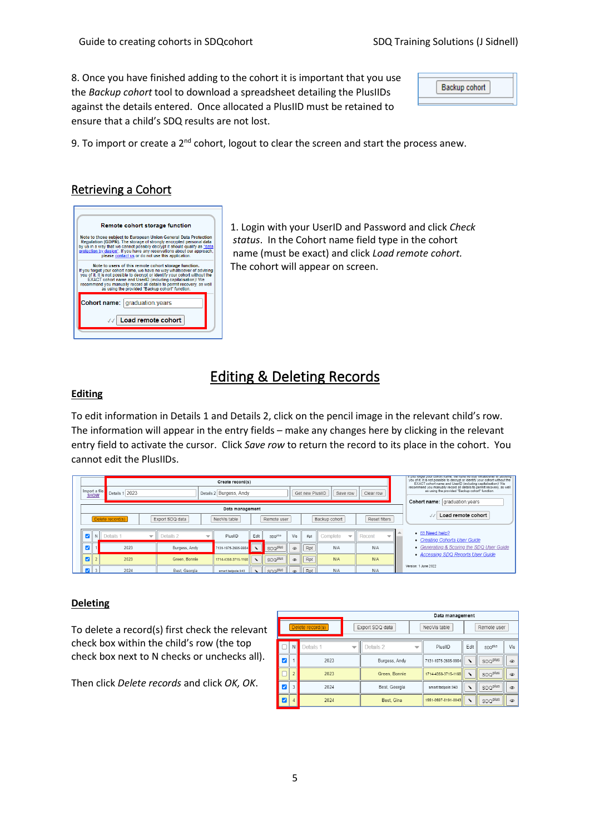8. Once you have finished adding to the cohort it is important that you use the *Backup cohort* tool to download a spreadsheet detailing the PlusIIDs against the details entered. Once allocated a PlusIID must be retained to ensure that a child's SDQ results are not lost.

| Backup cohort |  |
|---------------|--|
|               |  |

9. To import or create a  $2^{nd}$  cohort, logout to clear the screen and start the process anew.

# <span id="page-5-0"></span>Retrieving a Cohort

| Remote cohort storage function                                                                                                                                                                                                                                                                                                                                                                            |  |
|-----------------------------------------------------------------------------------------------------------------------------------------------------------------------------------------------------------------------------------------------------------------------------------------------------------------------------------------------------------------------------------------------------------|--|
| Note to those subject to European Union General Data Protection<br>Regulation (GDPR). The storage of strongly encrypted personal data<br>by us in a way that we cannot possibly decrypt it should qualify as "data<br>protection by design". If you have any reservations about our approach,<br>please contact us or do not use this application.                                                        |  |
| Note to users of this remote cohort storage function.<br>If you forget your cohort name, we have no way whatsoever of advising<br>you of it. It is not possible to decrypt or identify your cohort without the<br>EXACT cohort name and UserID (including capitalisation)! We<br>recommend you manually record all details to permit recovery, as well<br>as using the provided "Backup cohort" function. |  |
| <b>Cohort name:   graduation.vears</b>                                                                                                                                                                                                                                                                                                                                                                    |  |
|                                                                                                                                                                                                                                                                                                                                                                                                           |  |

1. Login with your UserID and Password and click *Check status*. In the Cohort name field type in the cohort name (must be exact) and click *Load remote cohort.* The cohort will appear on screen.

# Editing & Deleting Records

#### <span id="page-5-1"></span>**Editing**

To edit information in Details 1 and Details 2, click on the pencil image in the relevant child's row. The information will appear in the entry fields – make any changes here by clicking in the relevant entry field to activate the cursor. Click *Save row* to return the record to its place in the cohort. You cannot edit the PlusIIDs.

| <b>SHOW</b>                         | Import a file. | Details 1 2023 |                          |                                                |                          | Create record(s)<br>Details 2 Burgess, Andy<br>Get new PlusIID<br>Clear row<br>Save row |                                |                           |                |                    |                                      | In your one or your content name, we have no way whatsoever or authority<br>you of it. It is not possible to decrypt or identify your cohort without the<br>EXACT cohort name and UserID (including capitalisation)! We<br>recommend you manually record all details to permit recovery, as well<br>as using the provided "Backup cohort" function.<br>Cohort name: graduation.years |                                                                 |
|-------------------------------------|----------------|----------------|--------------------------|------------------------------------------------|--------------------------|-----------------------------------------------------------------------------------------|--------------------------------|---------------------------|----------------|--------------------|--------------------------------------|--------------------------------------------------------------------------------------------------------------------------------------------------------------------------------------------------------------------------------------------------------------------------------------------------------------------------------------------------------------------------------------|-----------------------------------------------------------------|
| Delete record(s)<br>Export SDQ data |                |                |                          | Data management<br>NeoVis table<br>Remote user |                          |                                                                                         | Reset filters<br>Backup cohort |                           |                | Load remote cohort |                                      |                                                                                                                                                                                                                                                                                                                                                                                      |                                                                 |
| $\blacktriangledown$                |                | Details :      | $\overline{\phantom{0}}$ | Details 2                                      | $\overline{\phantom{0}}$ | PlusIID                                                                                 | Edit                           | SDQ <sup>plus</sup>       | Vis            | Rpt                | Complete<br>$\overline{\phantom{a}}$ | Recent<br>$\overline{\phantom{a}}$                                                                                                                                                                                                                                                                                                                                                   | $\bullet$ $\boxdot$ Need help?<br>• Creating Cohorts User Guide |
| ⊽                                   |                | 2023           |                          | Burgess, Andy                                  |                          | 7131-1975-2685-9984                                                                     |                                | SDQ <sup>plus</sup>       | $\circledcirc$ | Rpt                | N/A                                  | N/A                                                                                                                                                                                                                                                                                                                                                                                  | • Generating & Scoring the SDQ User Guide                       |
| $\blacksquare$                      |                | 2023           |                          | Green, Bonnie                                  |                          | 1714-4358-3715-1168                                                                     | $\lambda$                      | SDQ <sup>plus</sup>       | $\circledcirc$ | Rpt                | N/A                                  | N/A                                                                                                                                                                                                                                                                                                                                                                                  | • Accessing SDQ Reports User Guide                              |
| $\overline{\mathbf{v}}$             |                | 2024           |                          | Best, Georgia                                  |                          | smart.tadpole.943                                                                       |                                | "I spo <sup>plus</sup> in | $\circledast$  | Rpt                | N/A                                  | N/A                                                                                                                                                                                                                                                                                                                                                                                  | Version: 1 June 2022                                            |

#### **Deleting**

To delete a record(s) first check the relevant check box within the child's row (the top check box next to N checks or unchecks all).

Then click *Delete records* and click *OK, OK*.

|                        |           |                                       |                 |                     | Data management     |                     |                           |                           |            |  |  |
|------------------------|-----------|---------------------------------------|-----------------|---------------------|---------------------|---------------------|---------------------------|---------------------------|------------|--|--|
| Delete record(s)       |           |                                       | Export SDQ data |                     |                     | NeoVis table        | Remote user               |                           |            |  |  |
|                        | N         | Details 1<br>$\overline{\phantom{a}}$ |                 | Details 2           |                     | PlusIID             | Edit                      | <b>SDQ<sup>plus</sup></b> | Vis        |  |  |
| ⊽                      |           | 2023                                  |                 | Burgess, Andy       |                     | 7131-1975-2685-9984 | r                         | SDQ <sup>plus</sup>       | $^{\circ}$ |  |  |
|                        | 2023      |                                       | Green, Bonnie   |                     | 1714-4358-3715-1168 | ٠                   | SDQ <sup>plus</sup>       | $\circledcirc$            |            |  |  |
|                        | 3<br>2024 |                                       | Best, Georgia   |                     | smart.tadpole.943   |                     | <b>SDQ<sup>plus</sup></b> | $\circledcirc$            |            |  |  |
| 2024<br>$\overline{4}$ |           | Best. Gina                            |                 | 1551-0597-8191-8043 | ٠                   | SDQ <sup>plus</sup> | $^{\circ}$                |                           |            |  |  |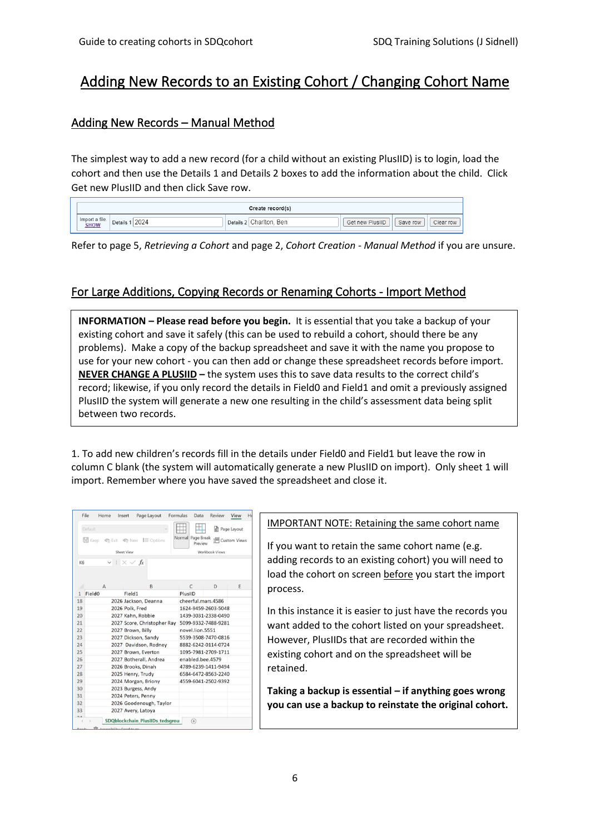# <span id="page-6-0"></span>Adding New Records to an Existing Cohort / Changing Cohort Name

## <span id="page-6-1"></span>Adding New Records – Manual Method

The simplest way to add a new record (for a child without an existing PlusIID) is to login, load the cohort and then use the Details 1 and Details 2 boxes to add the information about the child. Click Get new PlusIID and then click Save row.

|                                 |                 | Create record(s)            |                 |          |           |
|---------------------------------|-----------------|-----------------------------|-----------------|----------|-----------|
| a file<br>Import<br><b>SHOW</b> | 2024<br>Details | Ben<br>:`harlton<br>Details | Get new PlusIID | Save row | Clear row |

Refer to page 5, *Retrieving a Cohort* and page 2, *Cohort Creation - Manual Method* if you are unsure.

## <span id="page-6-2"></span>For Large Additions, Copying Records or Renaming Cohorts - Import Method

**INFORMATION – Please read before you begin.** It is essential that you take a backup of your existing cohort and save it safely (this can be used to rebuild a cohort, should there be any problems). Make a copy of the backup spreadsheet and save it with the name you propose to use for your new cohort - you can then add or change these spreadsheet records before import. **NEVER CHANGE A PLUSIID –** the system uses this to save data results to the correct child's record; likewise, if you only record the details in Field0 and Field1 and omit a previously assigned PlusIID the system will generate a new one resulting in the child's assessment data being split between two records.

1. To add new children's records fill in the details under Field0 and Field1 but leave the row in column C blank (the system will automatically generate a new PlusIID on import). Only sheet 1 will import. Remember where you have saved the spreadsheet and close it.

|              | Default                  |                                |                                             |                   |                     |                     | ell Page Layout             |  |  |
|--------------|--------------------------|--------------------------------|---------------------------------------------|-------------------|---------------------|---------------------|-----------------------------|--|--|
|              |                          |                                |                                             |                   |                     |                     |                             |  |  |
|              |                          |                                | <b>■ Keep</b> © Exit © New <b>I</b> Options | Normal Page Break | Preview             |                     | I <sup>m</sup> Custom Views |  |  |
|              |                          | Sheet View                     |                                             |                   |                     | Workbook Views      |                             |  |  |
|              |                          |                                |                                             |                   |                     |                     |                             |  |  |
| K6           |                          | $\vee$ $\vdots \times \vee$ fx |                                             |                   |                     |                     |                             |  |  |
|              |                          |                                |                                             |                   |                     |                     |                             |  |  |
|              | A                        |                                | B                                           |                   | $\mathcal{C}$       | D                   | E                           |  |  |
| $\mathbf{1}$ | <b>Field<sub>0</sub></b> | Field1                         |                                             | PlusIID           |                     |                     |                             |  |  |
| 18           |                          |                                | 2026 Jackson, Deanna                        |                   |                     | cheerful.mars.4586  |                             |  |  |
| 19           |                          | 2026 Polk, Fred                |                                             |                   | 1624-9459-2603-5048 |                     |                             |  |  |
| 20           |                          |                                | 2027 Kahn, Robbie                           |                   | 1439-3031-2338-0490 |                     |                             |  |  |
| 21           |                          |                                | 2027 Score, Christopher Ray                 |                   | 5099-9332-7488-9281 |                     |                             |  |  |
| 22           |                          | 2027 Brown, Billy              |                                             |                   | novel.lion.5551     |                     |                             |  |  |
| 23           |                          |                                | 2027 Dickson, Sandy                         |                   | 5539-3508-7470-0816 |                     |                             |  |  |
| 24           |                          |                                | 2027 Davidson, Rodney                       |                   | 8882-6242-0114-0724 |                     |                             |  |  |
| 25           |                          |                                | 2027 Brown, Everton                         |                   | 1095-7981-2709-1711 |                     |                             |  |  |
| 26           |                          |                                | 2027 Botherall, Andrea                      |                   | enabled.bee.4579    |                     |                             |  |  |
| 27           |                          |                                | 2026 Brooks, Dinah                          |                   | 4789-6239-1411-9494 |                     |                             |  |  |
| 28           |                          |                                | 2025 Henry, Trudy                           |                   | 6584-6472-8563-2240 |                     |                             |  |  |
| 29           | 2024 Morgan, Briony      |                                |                                             |                   |                     | 4559-6041-2502-9392 |                             |  |  |
| 30           |                          | 2023 Burgess, Andy             |                                             |                   |                     |                     |                             |  |  |
| 31           | 2024 Peters, Penny       |                                |                                             |                   |                     |                     |                             |  |  |
| 32           |                          |                                | 2026 Goodenough, Taylor                     |                   |                     |                     |                             |  |  |
| 33           |                          |                                | 2027 Avery, Latoya                          |                   |                     |                     |                             |  |  |
|              | í.                       |                                | SDQblockchain PlusIIDs tedsgrou             |                   | $\circledast$       |                     |                             |  |  |

IMPORTANT NOTE: Retaining the same cohort name

If you want to retain the same cohort name (e.g. adding records to an existing cohort) you will need to load the cohort on screen before you start the import process.

In this instance it is easier to just have the records you want added to the cohort listed on your spreadsheet. However, PlusIIDs that are recorded within the existing cohort and on the spreadsheet will be retained.

**Taking a backup is essential – if anything goes wrong you can use a backup to reinstate the original cohort.**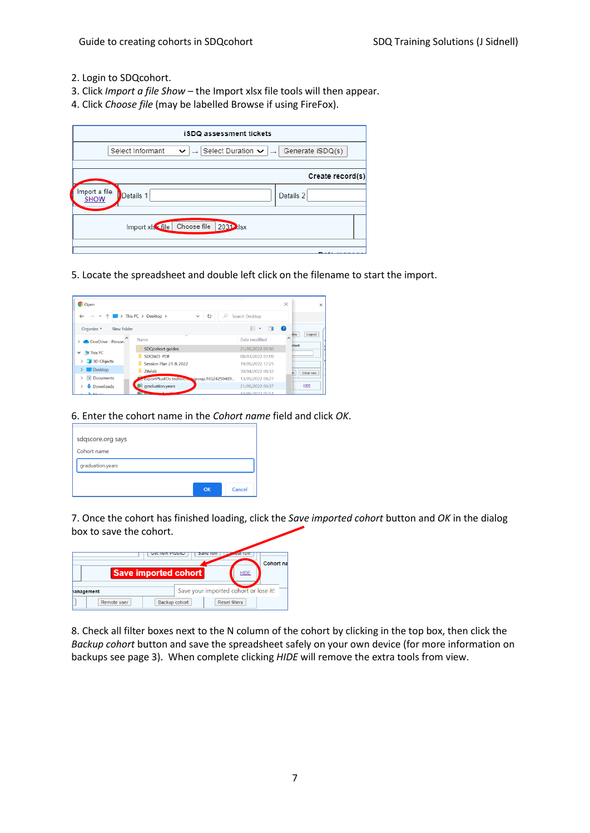- 2. Login to SDQcohort.
- 3. Click *Import a file Show –* the Import xlsx file tools will then appear.
- 4. Click *Choose file* (may be labelled Browse if using FireFox).

| iSDQ assessment tickets                                                                                        |                                        |
|----------------------------------------------------------------------------------------------------------------|----------------------------------------|
| $\rightarrow$ Select Duration $\rightarrow$ $\rightarrow$ Generate iSDQ(s)<br>Select Informant<br>$\checkmark$ |                                        |
|                                                                                                                | Create record(s)                       |
| Import a file.<br>Details 1<br><b>SHOW</b>                                                                     | Details 2                              |
| Choose file<br>2031 xlsx<br>Import xls <file< th=""><th></th></file<>                                          |                                        |
|                                                                                                                | <b><i><u><u> Laternais</u></u></i></b> |

5. Locate the spreadsheet and double left click on the filename to start the import.

| <b>O</b> Open                              |                                                  |                                                                 | $\times$<br>$\times$              |
|--------------------------------------------|--------------------------------------------------|-----------------------------------------------------------------|-----------------------------------|
| $\wedge$<br>$\rightarrow$<br>$\mathcal{L}$ | > This PC > Desktop ><br>U,<br>Ω<br>$\checkmark$ | Search Desktop                                                  |                                   |
| Organize *<br>New folder                   |                                                  | $\mathbb{R}$ . $\blacksquare$ . $\blacksquare$ . $\blacksquare$ |                                   |
| $\wedge$<br>OneDrive - Person              | $\widehat{\phantom{a}}$<br>Name                  | Date modified                                                   | Logout<br><b>itus</b><br>$\wedge$ |
|                                            | SDQcohort quides                                 | 21/05/2022 05:50                                                | <b>short</b>                      |
| This PC<br>$\checkmark$                    | SDOWD PDF                                        | 08/03/2022 07:09                                                |                                   |
| 3D Objects                                 | Session Plan 21 & 2022                           | 19/05/2022 17:25                                                |                                   |
| Desktop                                    | Zitelab                                          | 30/04/2022 08:32                                                | Clear row<br>ŵ                    |
| 编<br>Documents                             | exportPlusIIDs.tedtest.com/sqroup.16524259489    | 13/05/2022 08:27                                                |                                   |
| $\bigoplus$ Downloads                      | <b>3</b> graduation.years                        | 21/05/2022 06:37                                                | <b>HIDE</b>                       |
| $\sim$ $\sim$ $\sim$ $\sim$                | <b>Louisian</b><br><b>STATISTICS</b>             | 12/05/2022 05:51                                                |                                   |

6. Enter the cohort name in the *Cohort name* field and click *OK*.



7. Once the cohort has finished loading, click the *Save imported cohort* button and *OK* in the dialog box to save the cohort.

|             | GELTIEW PIUSIID             | <b>DAVE TU</b>                        |             |           |
|-------------|-----------------------------|---------------------------------------|-------------|-----------|
|             | <b>Save imported cohort</b> |                                       | <b>HIDE</b> | Cohort na |
| hanagement  |                             | Save your imported cohort or lose it! |             |           |
| Remote user | Backup cohort               | Reset filters                         |             |           |

8. Check all filter boxes next to the N column of the cohort by clicking in the top box, then click the *Backup cohort* button and save the spreadsheet safely on your own device (for more information on backups see page 3). When complete clicking *HIDE* will remove the extra tools from view.